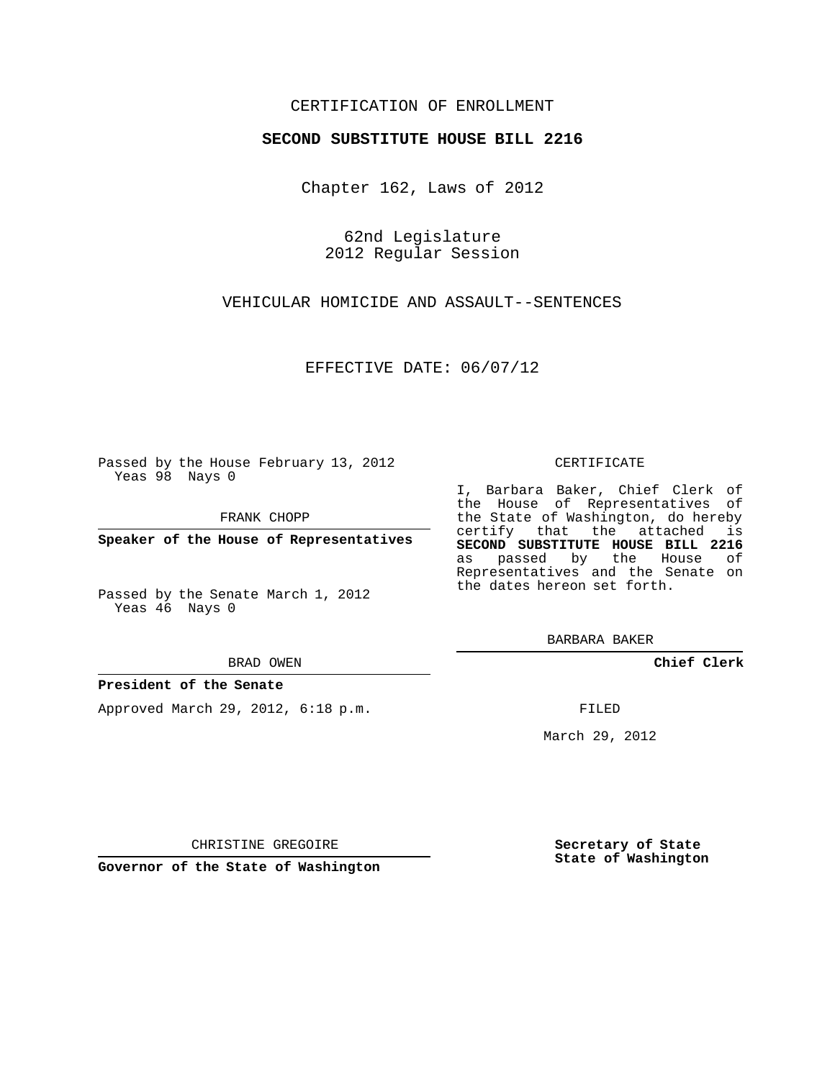### CERTIFICATION OF ENROLLMENT

#### **SECOND SUBSTITUTE HOUSE BILL 2216**

Chapter 162, Laws of 2012

62nd Legislature 2012 Regular Session

VEHICULAR HOMICIDE AND ASSAULT--SENTENCES

EFFECTIVE DATE: 06/07/12

Passed by the House February 13, 2012 Yeas 98 Nays 0

FRANK CHOPP

**Speaker of the House of Representatives**

Passed by the Senate March 1, 2012 Yeas 46 Nays 0

BRAD OWEN

#### **President of the Senate**

Approved March 29, 2012, 6:18 p.m.

CERTIFICATE

I, Barbara Baker, Chief Clerk of the House of Representatives of the State of Washington, do hereby certify that the attached is **SECOND SUBSTITUTE HOUSE BILL 2216** as passed by the House of Representatives and the Senate on the dates hereon set forth.

BARBARA BAKER

**Chief Clerk**

FILED

March 29, 2012

**Secretary of State State of Washington**

CHRISTINE GREGOIRE

**Governor of the State of Washington**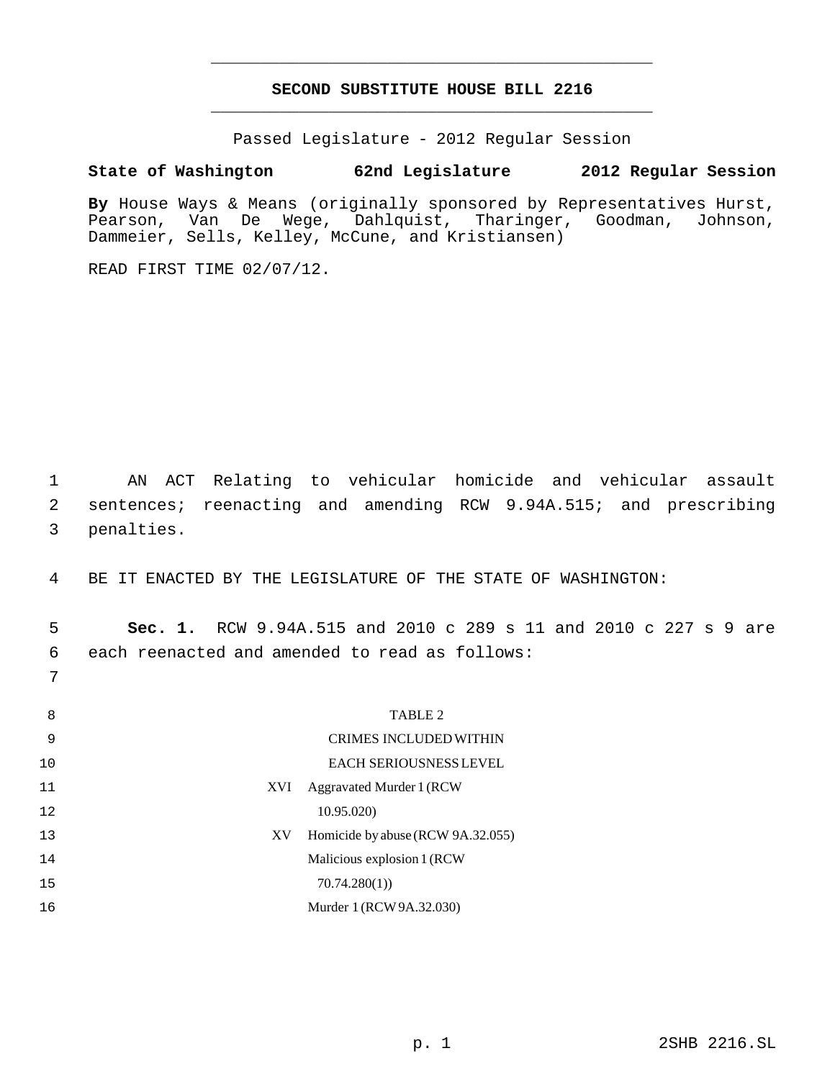# **SECOND SUBSTITUTE HOUSE BILL 2216** \_\_\_\_\_\_\_\_\_\_\_\_\_\_\_\_\_\_\_\_\_\_\_\_\_\_\_\_\_\_\_\_\_\_\_\_\_\_\_\_\_\_\_\_\_

\_\_\_\_\_\_\_\_\_\_\_\_\_\_\_\_\_\_\_\_\_\_\_\_\_\_\_\_\_\_\_\_\_\_\_\_\_\_\_\_\_\_\_\_\_

Passed Legislature - 2012 Regular Session

## **State of Washington 62nd Legislature 2012 Regular Session**

By House Ways & Means (originally sponsored by Representatives Hurst,<br>Pearson, Van De Weqe, Dahlquist, Tharinger, Goodman, Johnson, Van De Wege, Dahlquist, Tharinger, Goodman, Johnson, Dammeier, Sells, Kelley, McCune, and Kristiansen)

READ FIRST TIME 02/07/12.

7

 1 AN ACT Relating to vehicular homicide and vehicular assault 2 sentences; reenacting and amending RCW 9.94A.515; and prescribing 3 penalties.

4 BE IT ENACTED BY THE LEGISLATURE OF THE STATE OF WASHINGTON:

 5 **Sec. 1.** RCW 9.94A.515 and 2010 c 289 s 11 and 2010 c 227 s 9 are 6 each reenacted and amended to read as follows:

| 8  | TABLE 2                                 |
|----|-----------------------------------------|
| 9  | <b>CRIMES INCLUDED WITHIN</b>           |
| 10 | EACH SERIOUSNESS LEVEL                  |
| 11 | Aggravated Murder 1 (RCW)<br>XVI        |
| 12 | 10.95.020)                              |
| 13 | Homicide by abuse (RCW 9A.32.055)<br>XV |
| 14 | Malicious explosion 1 (RCW)             |
| 15 | 70.74.280(1)                            |
| 16 | Murder 1 (RCW 9A.32.030)                |
|    |                                         |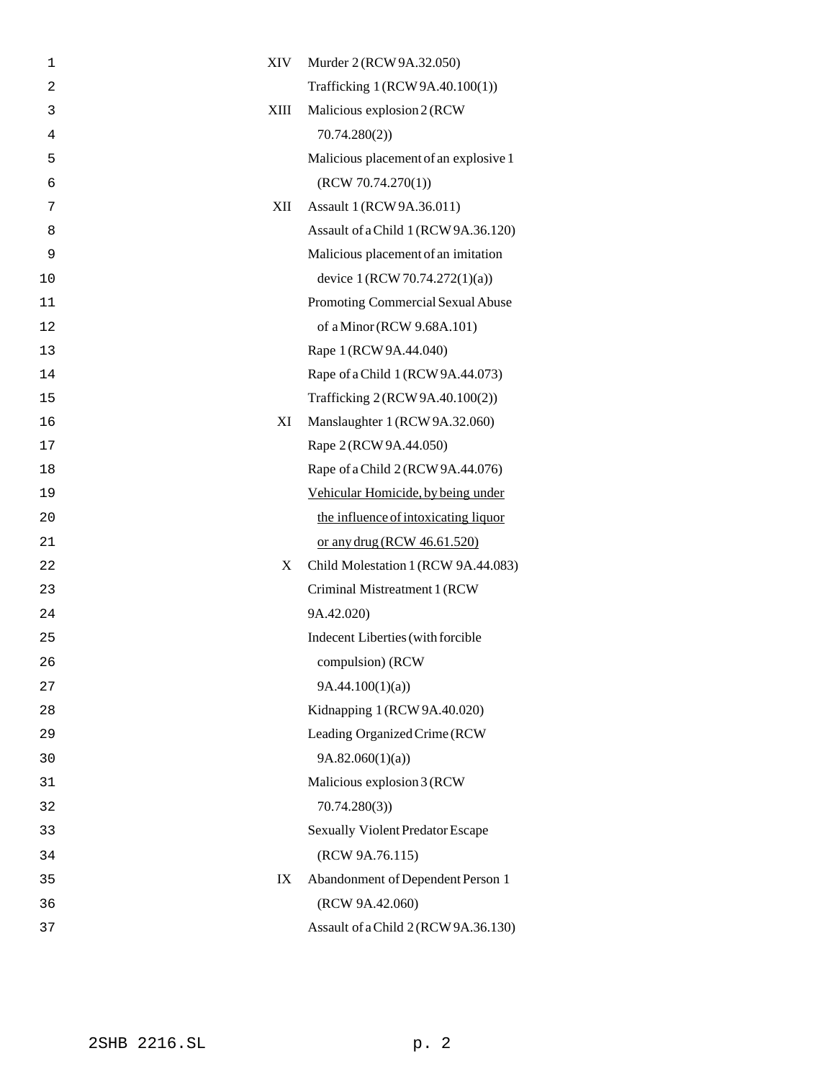| 1  | XIV  | Murder 2 (RCW 9A.32.050)                |
|----|------|-----------------------------------------|
| 2  |      | Trafficking 1 (RCW 9A.40.100(1))        |
| 3  | XIII | Malicious explosion 2 (RCW)             |
| 4  |      | 70.74.280(2)                            |
| 5  |      | Malicious placement of an explosive 1   |
| 6  |      | (RCW 70.74.270(1))                      |
| 7  | XII  | Assault 1 (RCW 9A.36.011)               |
| 8  |      | Assault of a Child 1 (RCW 9A.36.120)    |
| 9  |      | Malicious placement of an imitation     |
| 10 |      | device 1 (RCW 70.74.272(1)(a))          |
| 11 |      | Promoting Commercial Sexual Abuse       |
| 12 |      | of a Minor (RCW 9.68A.101)              |
| 13 |      | Rape 1 (RCW 9A.44.040)                  |
| 14 |      | Rape of a Child 1 (RCW 9A.44.073)       |
| 15 |      | Trafficking 2 (RCW 9A.40.100(2))        |
| 16 | XI   | Manslaughter 1 (RCW 9A.32.060)          |
| 17 |      | Rape 2 (RCW 9A.44.050)                  |
| 18 |      | Rape of a Child 2 (RCW 9A.44.076)       |
| 19 |      | Vehicular Homicide, by being under      |
| 20 |      | the influence of intoxicating liquor    |
| 21 |      | or any drug (RCW 46.61.520)             |
| 22 | X    | Child Molestation 1 (RCW 9A.44.083)     |
| 23 |      | Criminal Mistreatment 1 (RCW            |
| 24 |      | 9A.42.020)                              |
| 25 |      | Indecent Liberties (with forcible       |
| 26 |      | compulsion) (RCW                        |
| 27 |      | 9A.44.100(1)(a)                         |
| 28 |      | Kidnapping 1 (RCW 9A.40.020)            |
| 29 |      | Leading Organized Crime (RCW            |
| 30 |      | 9A.82.060(1)(a)                         |
| 31 |      | Malicious explosion 3 (RCW              |
| 32 |      | 70.74.280(3)                            |
| 33 |      | <b>Sexually Violent Predator Escape</b> |
| 34 |      | (RCW 9A.76.115)                         |
| 35 | IX   | Abandonment of Dependent Person 1       |
| 36 |      | (RCW 9A.42.060)                         |
| 37 |      | Assault of a Child 2 (RCW 9A.36.130)    |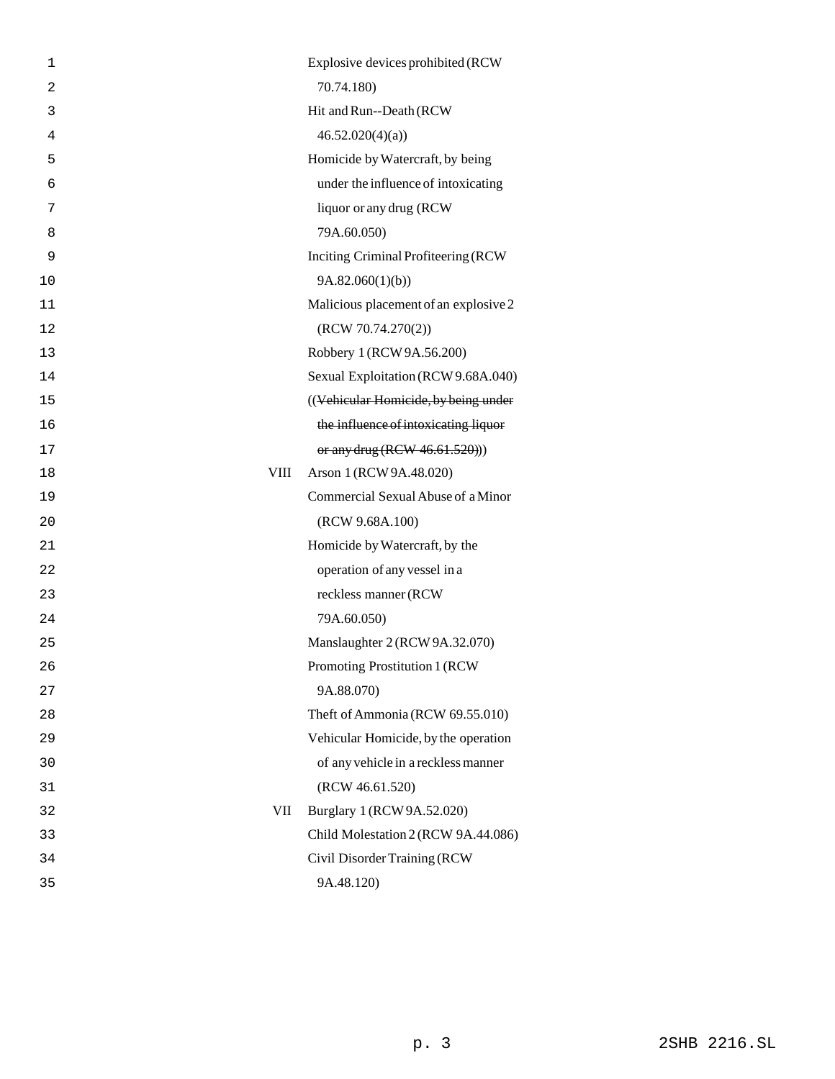| 1              | Explosive devices prohibited (RCW      |
|----------------|----------------------------------------|
| $\overline{a}$ | 70.74.180)                             |
| 3              | Hit and Run--Death (RCW                |
| 4              | 46.52.020(4)(a)                        |
| 5              | Homicide by Watercraft, by being       |
| 6              | under the influence of intoxicating    |
| 7              | liquor or any drug (RCW                |
| 8              | 79A.60.050)                            |
| 9              | Inciting Criminal Profiteering (RCW    |
| 10             | 9A.82.060(1)(b)                        |
| 11             | Malicious placement of an explosive 2  |
| 12             | (RCW 70.74.270(2))                     |
| 13             | Robbery 1 (RCW 9A.56.200)              |
| 14             | Sexual Exploitation (RCW 9.68A.040)    |
| 15             | ((Vehicular Homicide, by being under   |
| 16             | the influence of intoxicating liquor   |
| 17             | or any drug (RCW 46.61.520)))          |
| 18             | Arson 1 (RCW 9A.48.020)<br><b>VIII</b> |
| 19             | Commercial Sexual Abuse of a Minor     |
| 20             | (RCW 9.68A.100)                        |
| 21             | Homicide by Watercraft, by the         |
| 22             | operation of any vessel in a           |
| 23             | reckless manner (RCW                   |
| 24             | 79A.60.050)                            |
| 25             | Manslaughter 2 (RCW 9A.32.070)         |
| 26             | Promoting Prostitution 1 (RCW          |
| 27             | 9A.88.070)                             |
| 28             | Theft of Ammonia (RCW 69.55.010)       |
| 29             | Vehicular Homicide, by the operation   |
| 30             | of any vehicle in a reckless manner    |
| 31             | (RCW 46.61.520)                        |
| 32             | VII<br>Burglary 1 (RCW 9A.52.020)      |
| 33             | Child Molestation 2 (RCW 9A.44.086)    |
| 34             | Civil Disorder Training (RCW           |
| 35             | 9A.48.120)                             |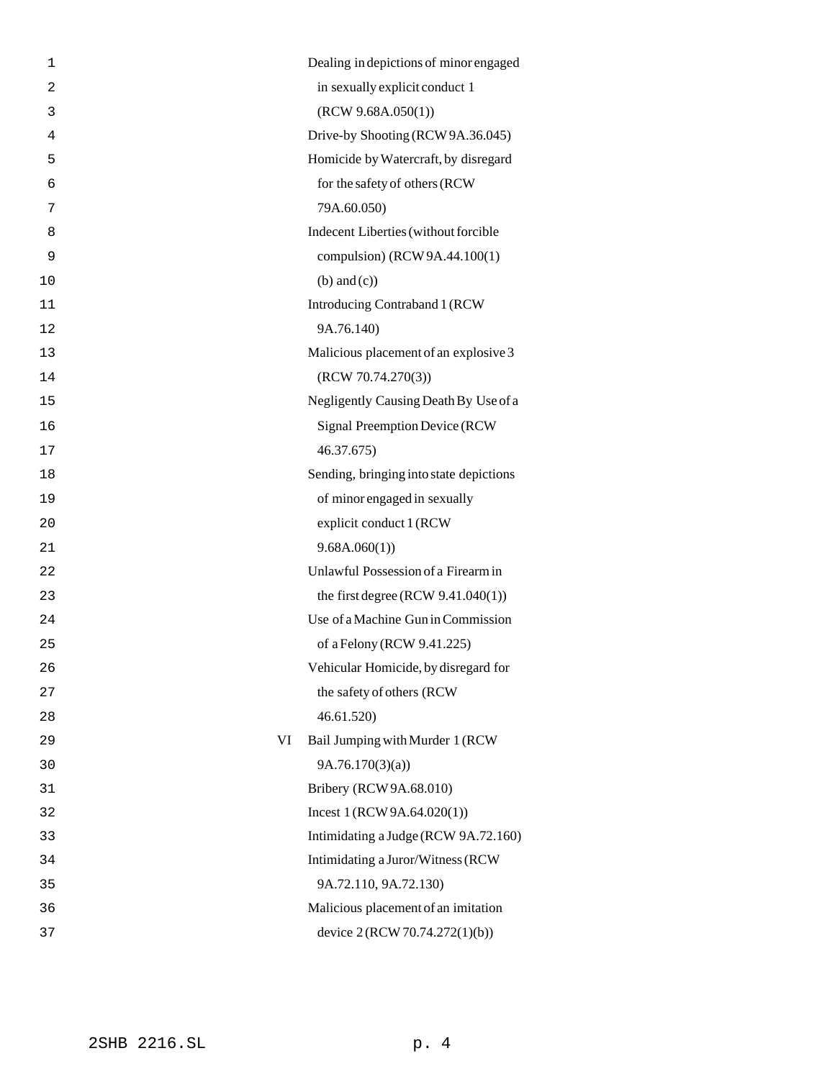| 1              |    | Dealing in depictions of minor engaged  |
|----------------|----|-----------------------------------------|
| $\overline{a}$ |    | in sexually explicit conduct 1          |
| 3              |    | (RCW 9.68A.050(1))                      |
| 4              |    | Drive-by Shooting (RCW 9A.36.045)       |
| 5              |    | Homicide by Watercraft, by disregard    |
| 6              |    | for the safety of others (RCW           |
| 7              |    | 79A.60.050)                             |
| 8              |    | Indecent Liberties (without forcible    |
| 9              |    | compulsion) (RCW 9A.44.100(1)           |
| 10             |    | $(b)$ and $(c)$ )                       |
| 11             |    | Introducing Contraband 1 (RCW           |
| 12             |    | 9A.76.140)                              |
| 13             |    | Malicious placement of an explosive 3   |
| 14             |    | (RCW 70.74.270(3))                      |
| 15             |    | Negligently Causing Death By Use of a   |
| 16             |    | Signal Preemption Device (RCW           |
| 17             |    | 46.37.675)                              |
| 18             |    | Sending, bringing into state depictions |
| 19             |    | of minor engaged in sexually            |
| 20             |    | explicit conduct 1 (RCW                 |
| 21             |    | 9.68A.060(1)                            |
| 22             |    | Unlawful Possession of a Firearm in     |
| 23             |    | the first degree (RCW $9.41.040(1)$ )   |
| 24             |    | Use of a Machine Gun in Commission      |
| 25             |    | of a Felony (RCW 9.41.225)              |
| 26             |    | Vehicular Homicide, by disregard for    |
| 27             |    | the safety of others (RCW               |
| 28             |    | 46.61.520                               |
| 29             | VI | Bail Jumping with Murder 1 (RCW         |
| 30             |    | 9A.76.170(3)(a)                         |
| 31             |    | Bribery (RCW 9A.68.010)                 |
| 32             |    | Incest $1 (RCW 9A.64.020(1))$           |
| 33             |    | Intimidating a Judge (RCW 9A.72.160)    |
| 34             |    | Intimidating a Juror/Witness (RCW       |
| 35             |    | 9A.72.110, 9A.72.130)                   |
| 36             |    | Malicious placement of an imitation     |
| 37             |    | device 2 (RCW 70.74.272(1)(b))          |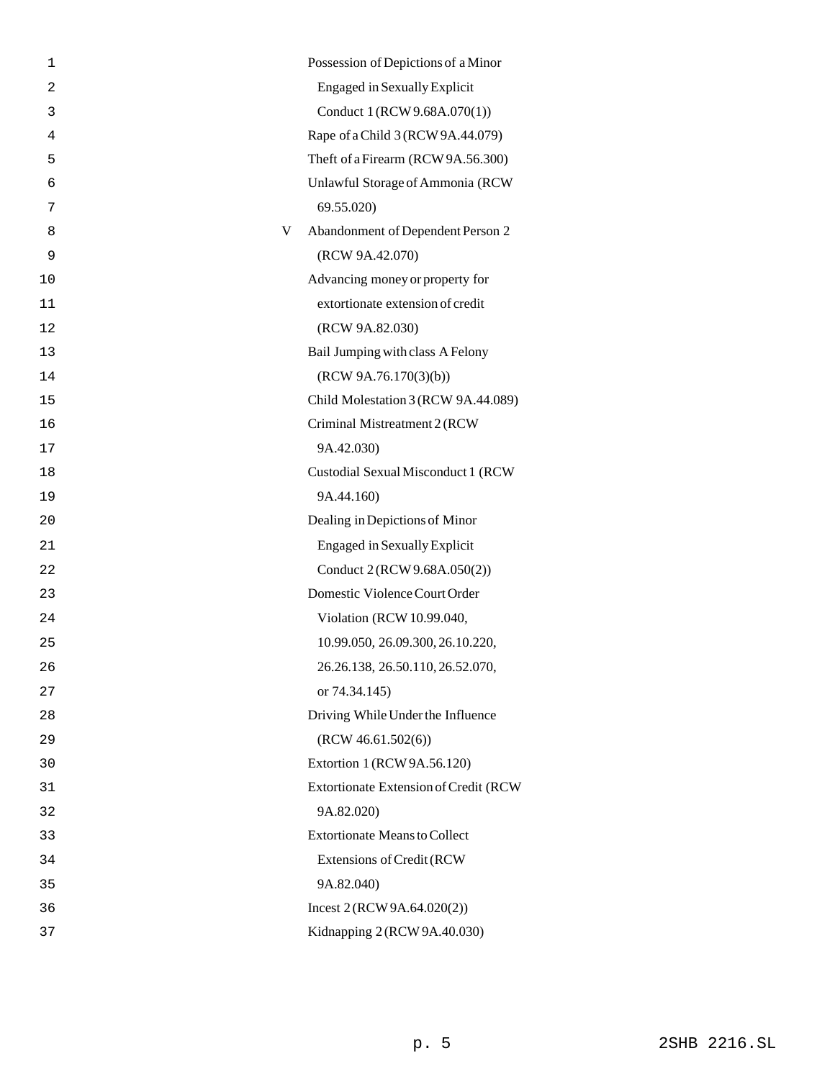| 1              | Possession of Depictions of a Minor    |
|----------------|----------------------------------------|
| $\overline{2}$ | <b>Engaged in Sexually Explicit</b>    |
| 3              | Conduct 1 (RCW 9.68A.070(1))           |
| 4              | Rape of a Child 3 (RCW 9A.44.079)      |
| 5              | Theft of a Firearm (RCW 9A.56.300)     |
| 6              | Unlawful Storage of Ammonia (RCW       |
| 7              | 69.55.020)                             |
| 8              | Abandonment of Dependent Person 2<br>V |
| 9              | (RCW 9A.42.070)                        |
| 10             | Advancing money or property for        |
| 11             | extortionate extension of credit       |
| 12             | (RCW 9A.82.030)                        |
| 13             | Bail Jumping with class A Felony       |
| 14             | (RCW 9A.76.170(3)(b))                  |
| 15             | Child Molestation 3 (RCW 9A.44.089)    |
| 16             | Criminal Mistreatment 2 (RCW           |
| 17             | 9A.42.030)                             |
| 18             | Custodial Sexual Misconduct 1 (RCW     |
| 19             | 9A.44.160)                             |
| 20             | Dealing in Depictions of Minor         |
| 21             | <b>Engaged in Sexually Explicit</b>    |
| 22             | Conduct 2 (RCW 9.68A.050(2))           |
| 23             | Domestic Violence Court Order          |
| 24             | Violation (RCW 10.99.040,              |
| 25             | 10.99.050, 26.09.300, 26.10.220,       |
| 26             | 26.26.138, 26.50.110, 26.52.070,       |
| 27             | or 74.34.145)                          |
| 28             | Driving While Under the Influence      |
| 29             | (RCW 46.61.502(6))                     |
| 30             | Extortion 1 (RCW 9A.56.120)            |
| 31             | Extortionate Extension of Credit (RCW  |
| 32             | 9A.82.020)                             |
| 33             | <b>Extortionate Means to Collect</b>   |
| 34             | Extensions of Credit (RCW              |
| 35             | 9A.82.040)                             |
| 36             | Incest $2 (RCW 9A.64.020(2))$          |
| 37             | Kidnapping 2 (RCW 9A.40.030)           |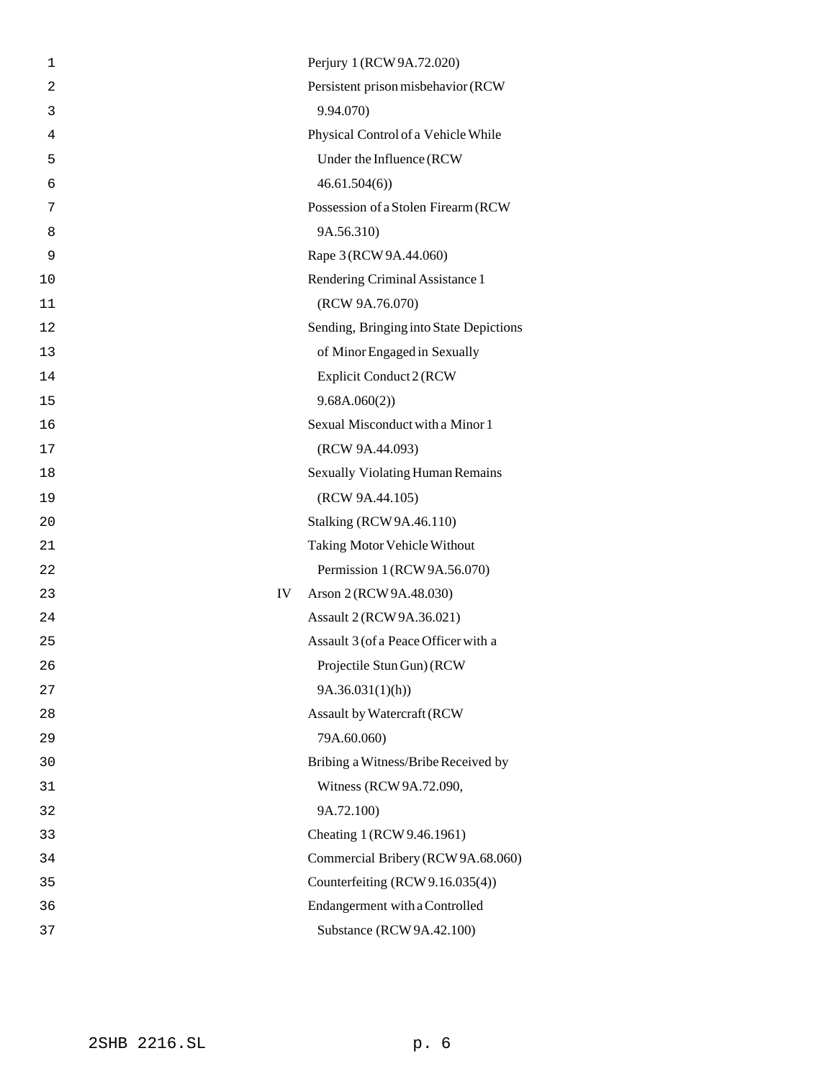| 1              |    | Perjury 1 (RCW 9A.72.020)               |
|----------------|----|-----------------------------------------|
| $\overline{a}$ |    | Persistent prison misbehavior (RCW      |
| 3              |    | 9.94.070)                               |
| 4              |    | Physical Control of a Vehicle While     |
| 5              |    | Under the Influence (RCW                |
| 6              |    | 46.61.504(6)                            |
| 7              |    | Possession of a Stolen Firearm (RCW     |
| 8              |    | 9A.56.310)                              |
| 9              |    | Rape 3 (RCW 9A.44.060)                  |
| 10             |    | Rendering Criminal Assistance 1         |
| 11             |    | (RCW 9A.76.070)                         |
| 12             |    | Sending, Bringing into State Depictions |
| 13             |    | of Minor Engaged in Sexually            |
| 14             |    | Explicit Conduct 2 (RCW                 |
| 15             |    | 9.68A.060(2)                            |
| 16             |    | Sexual Misconduct with a Minor 1        |
| 17             |    | (RCW 9A.44.093)                         |
| 18             |    | <b>Sexually Violating Human Remains</b> |
| 19             |    | (RCW 9A.44.105)                         |
| 20             |    | <b>Stalking (RCW 9A.46.110)</b>         |
| 21             |    | Taking Motor Vehicle Without            |
| 22             |    | Permission 1 (RCW 9A.56.070)            |
| 23             | IV | Arson 2 (RCW 9A.48.030)                 |
| 24             |    | Assault 2 (RCW 9A.36.021)               |
| 25             |    | Assault 3 (of a Peace Officer with a    |
| 26             |    | Projectile Stun Gun) (RCW               |
| 27             |    | 9A.36.031(1)(h)                         |
| 28             |    | <b>Assault by Watercraft (RCW</b>       |
| 29             |    | 79A.60.060)                             |
| 30             |    | Bribing a Witness/Bribe Received by     |
| 31             |    | Witness (RCW 9A.72.090,                 |
| 32             |    | 9A.72.100)                              |
| 33             |    | Cheating 1 (RCW 9.46.1961)              |
| 34             |    | Commercial Bribery (RCW 9A.68.060)      |
| 35             |    | Counterfeiting (RCW 9.16.035(4))        |
| 36             |    | Endangerment with a Controlled          |
| 37             |    | Substance (RCW 9A.42.100)               |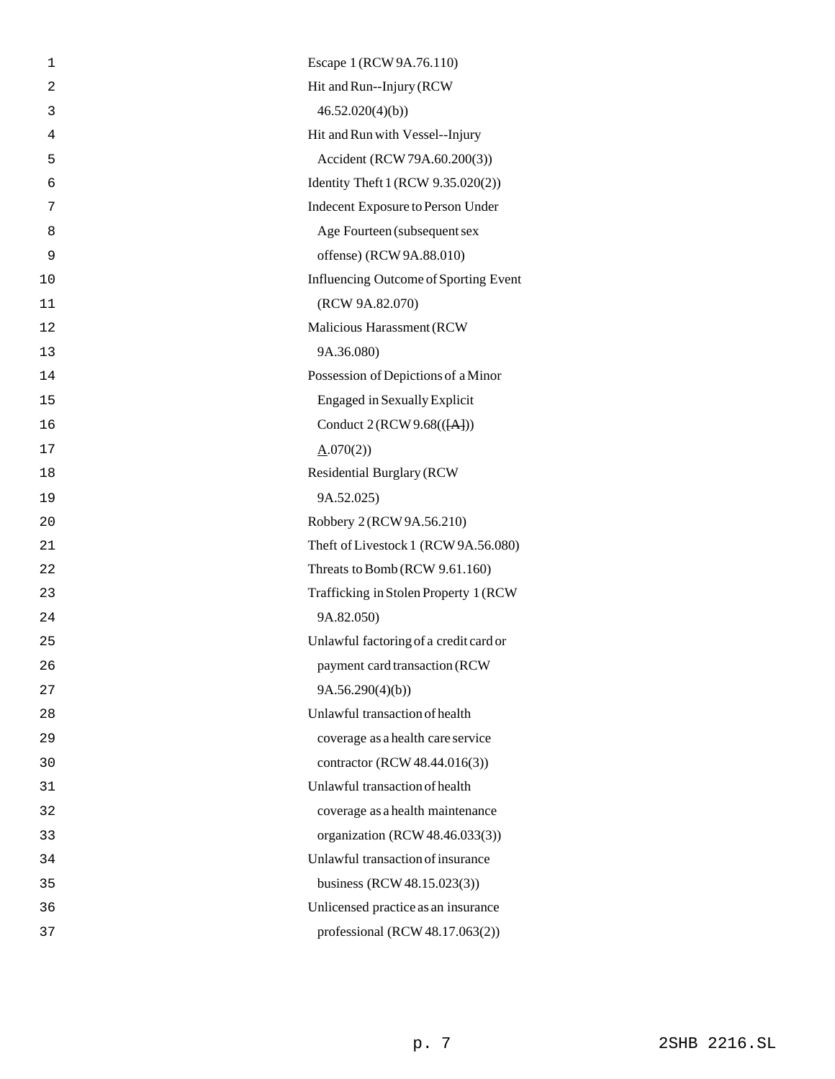| 1  | Escape 1 (RCW 9A.76.110)                     |
|----|----------------------------------------------|
| 2  | Hit and Run--Injury (RCW                     |
| 3  | 46.52.020(4)(b)                              |
| 4  | Hit and Run with Vessel--Injury              |
| 5  | Accident (RCW 79A.60.200(3))                 |
| 6  | Identity Theft 1 (RCW 9.35.020(2))           |
| 7  | Indecent Exposure to Person Under            |
| 8  | Age Fourteen (subsequent sex                 |
| 9  | offense) (RCW 9A.88.010)                     |
| 10 | <b>Influencing Outcome of Sporting Event</b> |
| 11 | (RCW 9A.82.070)                              |
| 12 | Malicious Harassment (RCW                    |
| 13 | 9A.36.080)                                   |
| 14 | Possession of Depictions of a Minor          |
| 15 | <b>Engaged in Sexually Explicit</b>          |
| 16 | Conduct 2 (RCW 9.68(([A]))                   |
| 17 | $\underline{A}.070(2)$                       |
| 18 | <b>Residential Burglary (RCW</b>             |
| 19 | 9A.52.025)                                   |
| 20 | Robbery 2 (RCW 9A.56.210)                    |
| 21 | Theft of Livestock 1 (RCW 9A.56.080)         |
| 22 | Threats to Bomb (RCW 9.61.160)               |
| 23 | Trafficking in Stolen Property 1 (RCW)       |
| 24 | 9A.82.050)                                   |
| 25 | Unlawful factoring of a credit card or       |
| 26 | payment card transaction (RCW                |
| 27 | 9A.56.290(4)(b)                              |
| 28 | Unlawful transaction of health               |
| 29 | coverage as a health care service            |
| 30 | contractor (RCW 48.44.016(3))                |
| 31 | Unlawful transaction of health               |
| 32 | coverage as a health maintenance             |
| 33 | organization (RCW 48.46.033(3))              |
| 34 | Unlawful transaction of insurance            |
| 35 | business (RCW 48.15.023(3))                  |
| 36 | Unlicensed practice as an insurance          |
| 37 | professional (RCW 48.17.063(2))              |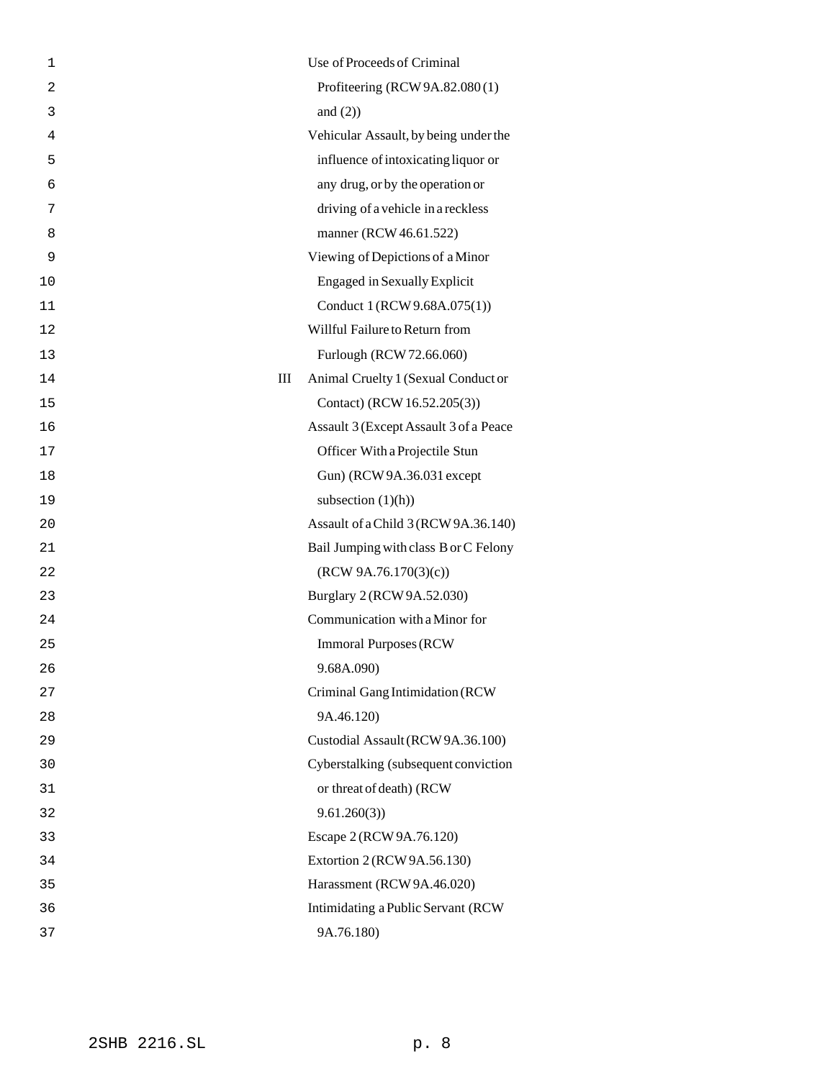| 1              |   | Use of Proceeds of Criminal            |
|----------------|---|----------------------------------------|
| $\overline{2}$ |   | Profiteering (RCW 9A.82.080(1)         |
| 3              |   | and $(2)$ )                            |
| 4              |   | Vehicular Assault, by being under the  |
| 5              |   | influence of intoxicating liquor or    |
| 6              |   | any drug, or by the operation or       |
| 7              |   | driving of a vehicle in a reckless     |
| 8              |   | manner (RCW 46.61.522)                 |
| 9              |   | Viewing of Depictions of a Minor       |
| 10             |   | <b>Engaged in Sexually Explicit</b>    |
| 11             |   | Conduct 1 (RCW 9.68A.075(1))           |
| 12             |   | Willful Failure to Return from         |
| 13             |   | Furlough (RCW 72.66.060)               |
| 14             | Ш | Animal Cruelty 1 (Sexual Conduct or    |
| 15             |   | Contact) (RCW 16.52.205(3))            |
| 16             |   | Assault 3 (Except Assault 3 of a Peace |
| 17             |   | Officer With a Projectile Stun         |
| 18             |   | Gun) (RCW 9A.36.031 except             |
| 19             |   | subsection $(1)(h)$                    |
| 20             |   | Assault of a Child 3 (RCW 9A.36.140)   |
| 21             |   | Bail Jumping with class B or C Felony  |
| 22             |   | (RCW 9A.76.170(3)(c))                  |
| 23             |   | Burglary 2 (RCW 9A.52.030)             |
| 24             |   | Communication with a Minor for         |
| 25             |   | <b>Immoral Purposes (RCW)</b>          |
| 26             |   | 9.68A.090)                             |
| 27             |   | Criminal Gang Intimidation (RCW        |
| 28             |   | 9A.46.120)                             |
| 29             |   | Custodial Assault (RCW 9A.36.100)      |
| 30             |   | Cyberstalking (subsequent conviction   |
| 31             |   | or threat of death) (RCW               |
| 32             |   | 9.61.260(3)                            |
| 33             |   | Escape 2 (RCW 9A.76.120)               |
| 34             |   | Extortion 2 (RCW 9A.56.130)            |
| 35             |   | Harassment (RCW 9A.46.020)             |
| 36             |   | Intimidating a Public Servant (RCW     |
| 37             |   | 9A.76.180)                             |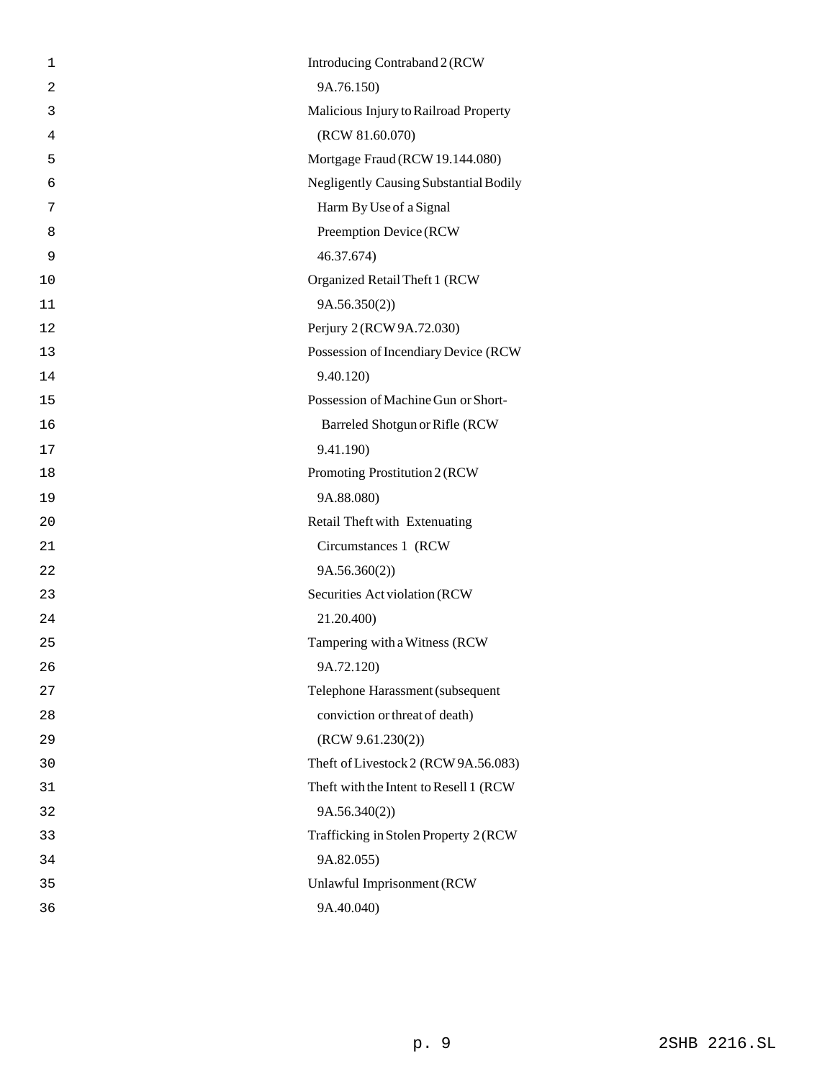| 1              | Introducing Contraband 2 (RCW                 |
|----------------|-----------------------------------------------|
| $\overline{2}$ | 9A.76.150)                                    |
| 3              | Malicious Injury to Railroad Property         |
| 4              | (RCW 81.60.070)                               |
| 5              | Mortgage Fraud (RCW 19.144.080)               |
| 6              | <b>Negligently Causing Substantial Bodily</b> |
| 7              | Harm By Use of a Signal                       |
| 8              | Preemption Device (RCW                        |
| 9              | 46.37.674)                                    |
| 10             | Organized Retail Theft 1 (RCW                 |
| 11             | 9A.56.350(2)                                  |
| 12             | Perjury 2 (RCW 9A.72.030)                     |
| 13             | Possession of Incendiary Device (RCW          |
| 14             | 9.40.120)                                     |
| 15             | Possession of Machine Gun or Short-           |
| 16             | Barreled Shotgun or Rifle (RCW                |
| 17             | 9.41.190)                                     |
| 18             | Promoting Prostitution 2 (RCW                 |
| 19             | 9A.88.080)                                    |
| 20             | Retail Theft with Extenuating                 |
| 21             | Circumstances 1 (RCW                          |
| 22             | 9A.56.360(2))                                 |
| 23             | Securities Act violation (RCW                 |
| 24             | 21.20.400)                                    |
| 25             | Tampering with a Witness (RCW                 |
| 26             | 9A.72.120)                                    |
| 27             | Telephone Harassment (subsequent              |
| 28             | conviction or threat of death)                |
| 29             | (RCW 9.61.230(2))                             |
| 30             | Theft of Livestock 2 (RCW 9A.56.083)          |
| 31             | Theft with the Intent to Resell 1 (RCW        |
| 32             | 9A.56.340(2)                                  |
| 33             | Trafficking in Stolen Property 2 (RCW         |
| 34             | 9A.82.055)                                    |
| 35             | Unlawful Imprisonment (RCW                    |
| 36             | 9A.40.040)                                    |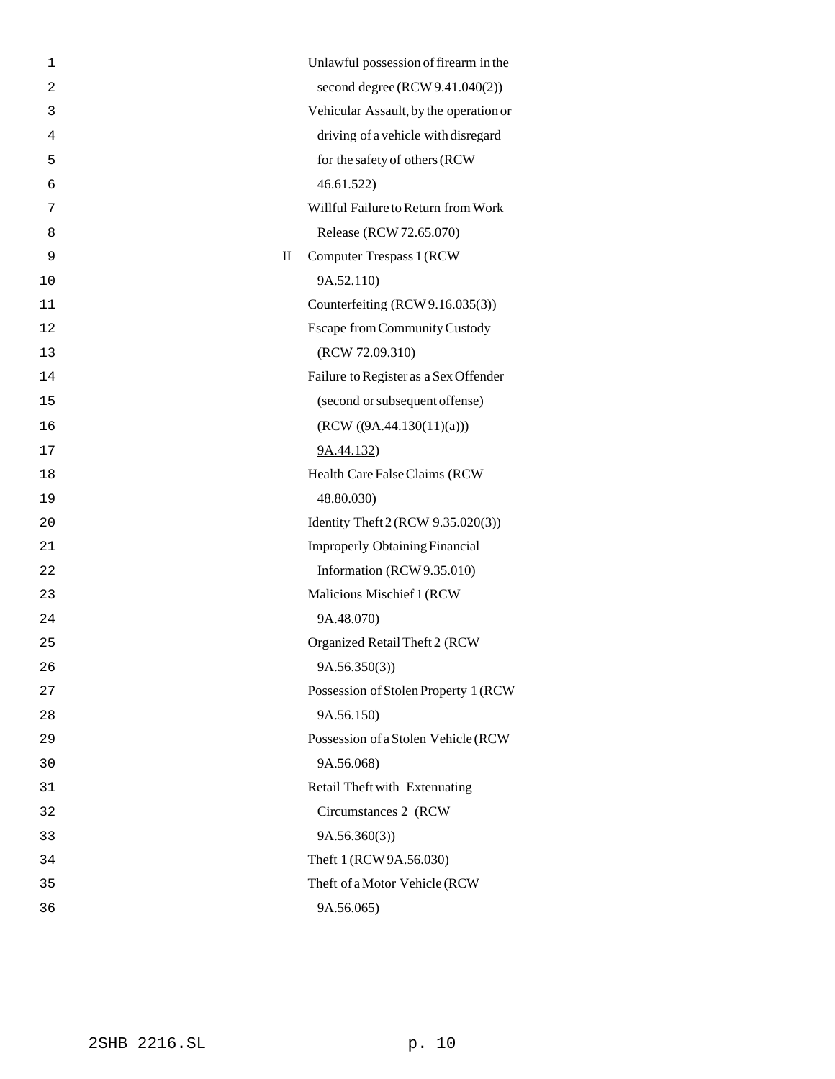| 1              | Unlawful possession of firearm in the    |
|----------------|------------------------------------------|
| $\overline{2}$ | second degree (RCW 9.41.040(2))          |
| 3              | Vehicular Assault, by the operation or   |
| 4              | driving of a vehicle with disregard      |
| 5              | for the safety of others (RCW            |
| 6              | 46.61.522)                               |
| 7              | Willful Failure to Return from Work      |
| 8              | Release (RCW 72.65.070)                  |
| 9              | Computer Trespass 1 (RCW<br>$\mathbf{I}$ |
| 10             | 9A.52.110)                               |
| 11             | Counterfeiting (RCW 9.16.035(3))         |
| 12             | <b>Escape from Community Custody</b>     |
| 13             | (RCW 72.09.310)                          |
| 14             | Failure to Register as a Sex Offender    |
| 15             | (second or subsequent offense)           |
| 16             | (RCW ((9A.44.130(11)(a)))                |
| 17             | 9A.44.132)                               |
| 18             | Health Care False Claims (RCW            |
| 19             | 48.80.030)                               |
| 20             | Identity Theft 2 (RCW 9.35.020(3))       |
| 21             | <b>Improperly Obtaining Financial</b>    |
| 22             | Information (RCW 9.35.010)               |
| 23             | Malicious Mischief 1 (RCW                |
| 24             | 9A.48.070)                               |
| 25             | Organized Retail Theft 2 (RCW            |
| 26             | 9A.56.350(3)                             |
| 27             | Possession of Stolen Property 1 (RCW     |
| 28             | 9A.56.150)                               |
| 29             | Possession of a Stolen Vehicle (RCW      |
| 30             | 9A.56.068)                               |
| 31             | Retail Theft with Extenuating            |
| 32             | Circumstances 2 (RCW)                    |
| 33             | 9A.56.360(3)                             |
| 34             | Theft 1 (RCW 9A.56.030)                  |
| 35             | Theft of a Motor Vehicle (RCW            |
| 36             | 9A.56.065)                               |
|                |                                          |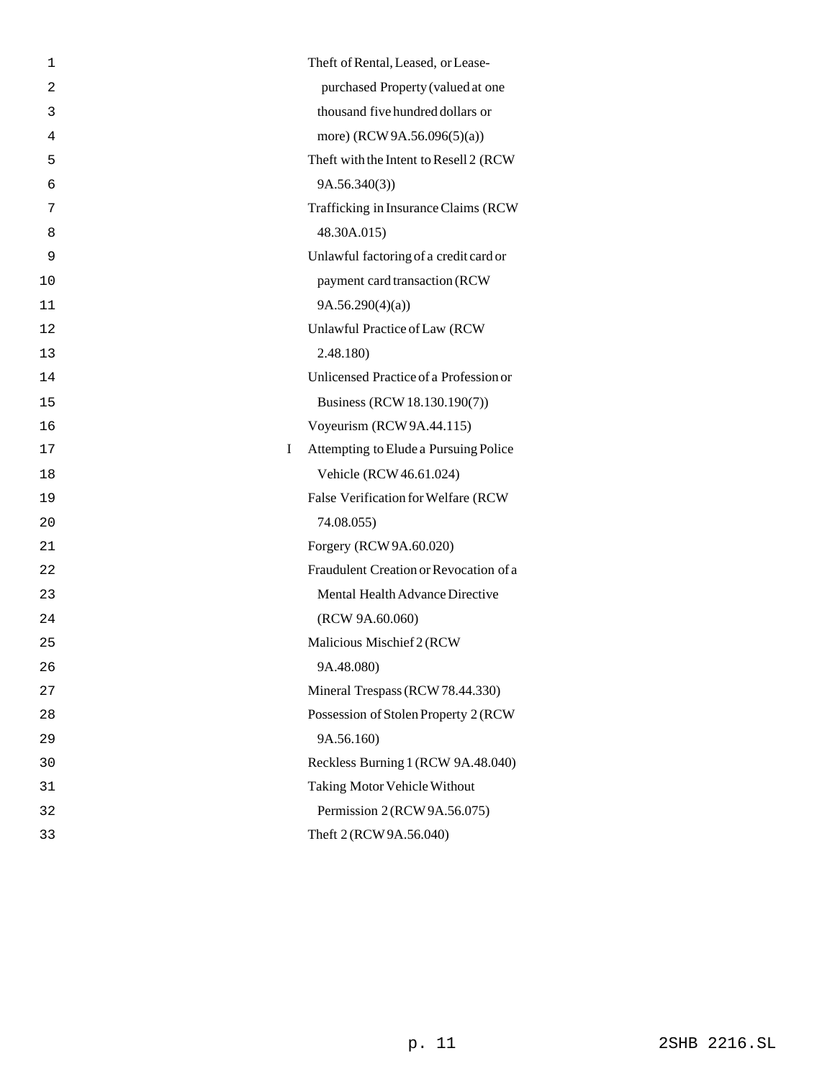| 1  | Theft of Rental, Leased, or Lease-         |
|----|--------------------------------------------|
| 2  | purchased Property (valued at one          |
| 3  | thousand five hundred dollars or           |
| 4  | more) (RCW 9A.56.096(5)(a))                |
| 5  | Theft with the Intent to Resell 2 (RCW     |
| 6  | 9A.56.340(3)                               |
| 7  | Trafficking in Insurance Claims (RCW       |
| 8  | 48.30A.015)                                |
| 9  | Unlawful factoring of a credit card or     |
| 10 | payment card transaction (RCW              |
| 11 | 9A.56.290(4)(a)                            |
| 12 | Unlawful Practice of Law (RCW              |
| 13 | 2.48.180)                                  |
| 14 | Unlicensed Practice of a Profession or     |
| 15 | Business (RCW 18.130.190(7))               |
| 16 | Voyeurism (RCW 9A.44.115)                  |
| 17 | Attempting to Elude a Pursuing Police<br>L |
| 18 | Vehicle (RCW 46.61.024)                    |
| 19 | False Verification for Welfare (RCW        |
| 20 | 74.08.055)                                 |
| 21 | Forgery (RCW 9A.60.020)                    |
| 22 | Fraudulent Creation or Revocation of a     |
| 23 | Mental Health Advance Directive            |
| 24 | (RCW 9A.60.060)                            |
| 25 | Malicious Mischief 2 (RCW                  |
| 26 | 9A.48.080)                                 |
| 27 | Mineral Trespass (RCW 78.44.330)           |
| 28 | Possession of Stolen Property 2 (RCW       |
| 29 | 9A.56.160)                                 |
| 30 | Reckless Burning 1 (RCW 9A.48.040)         |
| 31 | <b>Taking Motor Vehicle Without</b>        |
| 32 | Permission 2 (RCW 9A.56.075)               |
| 33 | Theft 2 (RCW 9A.56.040)                    |